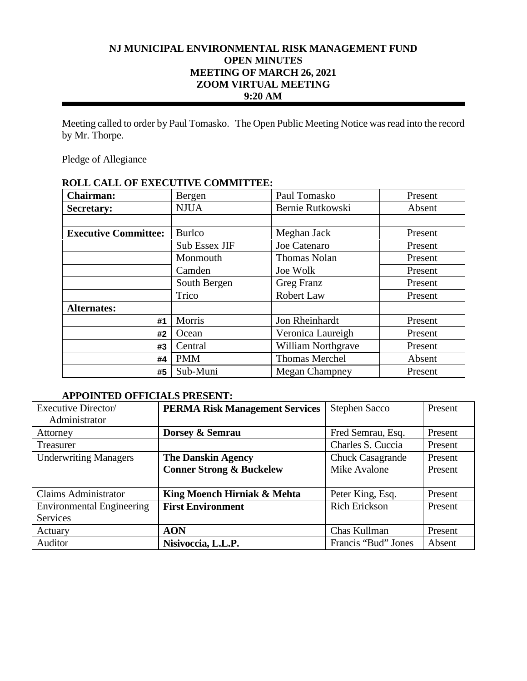# **NJ MUNICIPAL ENVIRONMENTAL RISK MANAGEMENT FUND OPEN MINUTES MEETING OF MARCH 26, 2021 ZOOM VIRTUAL MEETING 9:20 AM**

Meeting called to order by Paul Tomasko. The Open Public Meeting Notice was read into the record by Mr. Thorpe.

Pledge of Allegiance

| <b>Chairman:</b>            | Bergen        | Paul Tomasko              | Present |
|-----------------------------|---------------|---------------------------|---------|
| <b>Secretary:</b>           | <b>NJUA</b>   | Bernie Rutkowski          | Absent  |
|                             |               |                           |         |
| <b>Executive Committee:</b> | <b>Burlco</b> | Meghan Jack               | Present |
|                             | Sub Essex JIF | Joe Catenaro              | Present |
|                             | Monmouth      | <b>Thomas Nolan</b>       | Present |
|                             | Camden        | Joe Wolk                  | Present |
|                             | South Bergen  | Greg Franz                | Present |
|                             | Trico         | Robert Law                | Present |
| <b>Alternates:</b>          |               |                           |         |
| #1                          | Morris        | Jon Rheinhardt            | Present |
| #2                          | Ocean         | Veronica Laureigh         | Present |
| #3                          | Central       | <b>William Northgrave</b> | Present |
| #4                          | <b>PMM</b>    | <b>Thomas Merchel</b>     | Absent  |
| #5                          | Sub-Muni      | <b>Megan Champney</b>     | Present |

## **ROLL CALL OF EXECUTIVE COMMITTEE:**

## **APPOINTED OFFICIALS PRESENT:**

| Executive Director/              | <b>PERMA Risk Management Services</b> | <b>Stephen Sacco</b>    | Present |
|----------------------------------|---------------------------------------|-------------------------|---------|
| Administrator                    |                                       |                         |         |
| Attorney                         | Dorsey & Semrau                       | Fred Semrau, Esq.       | Present |
| Treasurer                        |                                       | Charles S. Cuccia       | Present |
| <b>Underwriting Managers</b>     | <b>The Danskin Agency</b>             | <b>Chuck Casagrande</b> | Present |
|                                  | <b>Conner Strong &amp; Buckelew</b>   | Mike Avalone            | Present |
|                                  |                                       |                         |         |
| <b>Claims Administrator</b>      | King Moench Hirniak & Mehta           | Peter King, Esq.        | Present |
| <b>Environmental Engineering</b> | <b>First Environment</b>              | <b>Rich Erickson</b>    | Present |
| Services                         |                                       |                         |         |
| Actuary                          | <b>AON</b>                            | Chas Kullman            | Present |
| Auditor                          | Nisivoccia, L.L.P.                    | Francis "Bud" Jones     | Absent  |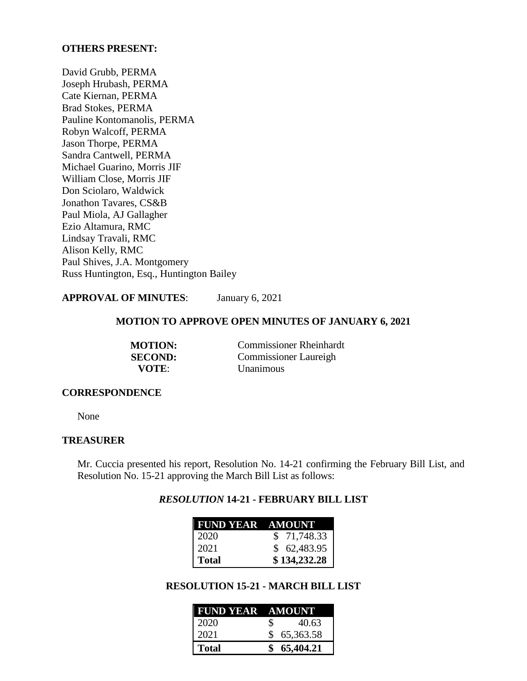## **OTHERS PRESENT:**

David Grubb, PERMA Joseph Hrubash, PERMA Cate Kiernan, PERMA Brad Stokes, PERMA Pauline Kontomanolis, PERMA Robyn Walcoff, PERMA Jason Thorpe, PERMA Sandra Cantwell, PERMA Michael Guarino, Morris JIF William Close, Morris JIF Don Sciolaro, Waldwick Jonathon Tavares, CS&B Paul Miola, AJ Gallagher Ezio Altamura, RMC Lindsay Travali, RMC Alison Kelly, RMC Paul Shives, J.A. Montgomery Russ Huntington, Esq., Huntington Bailey

## **APPROVAL OF MINUTES**: January 6, 2021

## **MOTION TO APPROVE OPEN MINUTES OF JANUARY 6, 2021**

| <b>MOTION:</b> | <b>Commissioner Rheinhardt</b> |
|----------------|--------------------------------|
| <b>SECOND:</b> | <b>Commissioner Laureigh</b>   |
| VOTE:          | <b>Unanimous</b>               |

### **CORRESPONDENCE**

None

## **TREASURER**

Mr. Cuccia presented his report, Resolution No. 14-21 confirming the February Bill List, and Resolution No. 15-21 approving the March Bill List as follows:

## *RESOLUTION* **14-21 - FEBRUARY BILL LIST**

| <b>FUND YEAR AMOUNT</b> |              |
|-------------------------|--------------|
| 2020                    | \$71,748.33  |
| 2021                    | \$62,483.95  |
| <b>Total</b>            | \$134,232.28 |

# **RESOLUTION 15-21 - MARCH BILL LIST**

| <b>FUND YEAR AMOUNT</b> |    |             |
|-------------------------|----|-------------|
| 2020                    | S. | 40.63       |
| 2021                    |    | \$65,363.58 |
| <b>Total</b>            |    | \$65,404.21 |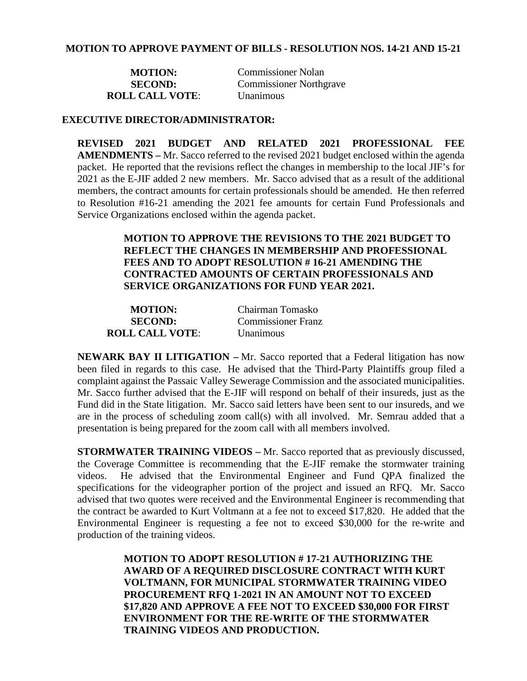| <b>MOTION:</b>         | <b>Commissioner Nolan</b>      |
|------------------------|--------------------------------|
| <b>SECOND:</b>         | <b>Commissioner Northgrave</b> |
| <b>ROLL CALL VOTE:</b> | <b>Unanimous</b>               |

## **EXECUTIVE DIRECTOR/ADMINISTRATOR:**

**REVISED 2021 BUDGET AND RELATED 2021 PROFESSIONAL FEE AMENDMENTS –** Mr. Sacco referred to the revised 2021 budget enclosed within the agenda packet. He reported that the revisions reflect the changes in membership to the local JIF's for 2021 as the E-JIF added 2 new members. Mr. Sacco advised that as a result of the additional members, the contract amounts for certain professionals should be amended. He then referred to Resolution #16-21 amending the 2021 fee amounts for certain Fund Professionals and Service Organizations enclosed within the agenda packet.

> **MOTION TO APPROVE THE REVISIONS TO THE 2021 BUDGET TO REFLECT THE CHANGES IN MEMBERSHIP AND PROFESSIONAL FEES AND TO ADOPT RESOLUTION # 16-21 AMENDING THE CONTRACTED AMOUNTS OF CERTAIN PROFESSIONALS AND SERVICE ORGANIZATIONS FOR FUND YEAR 2021.**

| <b>MOTION:</b>         | Chairman Tomasko          |
|------------------------|---------------------------|
| <b>SECOND:</b>         | <b>Commissioner Franz</b> |
| <b>ROLL CALL VOTE:</b> | <b>Unanimous</b>          |

**NEWARK BAY II LITIGATION –** Mr. Sacco reported that a Federal litigation has now been filed in regards to this case. He advised that the Third-Party Plaintiffs group filed a complaint against the Passaic Valley Sewerage Commission and the associated municipalities. Mr. Sacco further advised that the E-JIF will respond on behalf of their insureds, just as the Fund did in the State litigation. Mr. Sacco said letters have been sent to our insureds, and we are in the process of scheduling zoom call(s) with all involved. Mr. Semrau added that a presentation is being prepared for the zoom call with all members involved.

**STORMWATER TRAINING VIDEOS –** Mr. Sacco reported that as previously discussed, the Coverage Committee is recommending that the E-JIF remake the stormwater training videos. He advised that the Environmental Engineer and Fund QPA finalized the specifications for the videographer portion of the project and issued an RFQ. Mr. Sacco advised that two quotes were received and the Environmental Engineer is recommending that the contract be awarded to Kurt Voltmann at a fee not to exceed \$17,820. He added that the Environmental Engineer is requesting a fee not to exceed \$30,000 for the re-write and production of the training videos.

> **MOTION TO ADOPT RESOLUTION # 17-21 AUTHORIZING THE AWARD OF A REQUIRED DISCLOSURE CONTRACT WITH KURT VOLTMANN, FOR MUNICIPAL STORMWATER TRAINING VIDEO PROCUREMENT RFQ 1-2021 IN AN AMOUNT NOT TO EXCEED \$17,820 AND APPROVE A FEE NOT TO EXCEED \$30,000 FOR FIRST ENVIRONMENT FOR THE RE-WRITE OF THE STORMWATER TRAINING VIDEOS AND PRODUCTION.**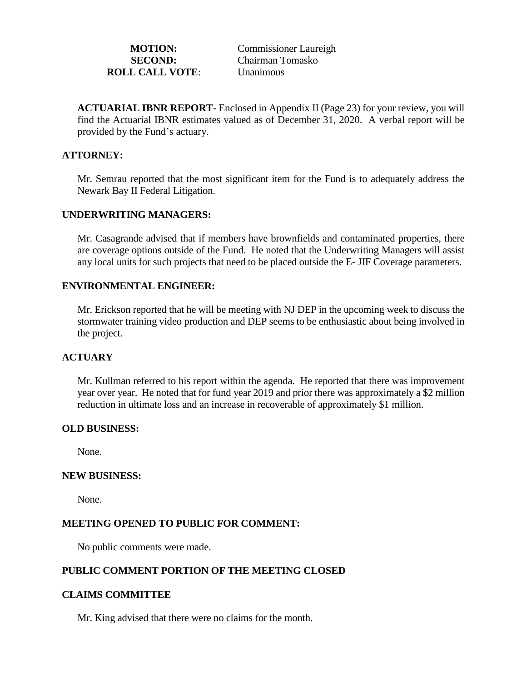| <b>MOTION:</b>         | <b>Commissioner Laureigh</b> |
|------------------------|------------------------------|
| <b>SECOND:</b>         | Chairman Tomasko             |
| <b>ROLL CALL VOTE:</b> | <b>Unanimous</b>             |

**ACTUARIAL IBNR REPORT-** Enclosed in Appendix II (Page 23) for your review, you will find the Actuarial IBNR estimates valued as of December 31, 2020. A verbal report will be provided by the Fund's actuary.

## **ATTORNEY:**

Mr. Semrau reported that the most significant item for the Fund is to adequately address the Newark Bay II Federal Litigation.

## **UNDERWRITING MANAGERS:**

Mr. Casagrande advised that if members have brownfields and contaminated properties, there are coverage options outside of the Fund. He noted that the Underwriting Managers will assist any local units for such projects that need to be placed outside the E- JIF Coverage parameters.

## **ENVIRONMENTAL ENGINEER:**

Mr. Erickson reported that he will be meeting with NJ DEP in the upcoming week to discuss the stormwater training video production and DEP seems to be enthusiastic about being involved in the project.

### **ACTUARY**

Mr. Kullman referred to his report within the agenda. He reported that there was improvement year over year. He noted that for fund year 2019 and prior there was approximately a \$2 million reduction in ultimate loss and an increase in recoverable of approximately \$1 million.

### **OLD BUSINESS:**

None.

### **NEW BUSINESS:**

None.

## **MEETING OPENED TO PUBLIC FOR COMMENT:**

No public comments were made.

## **PUBLIC COMMENT PORTION OF THE MEETING CLOSED**

### **CLAIMS COMMITTEE**

Mr. King advised that there were no claims for the month.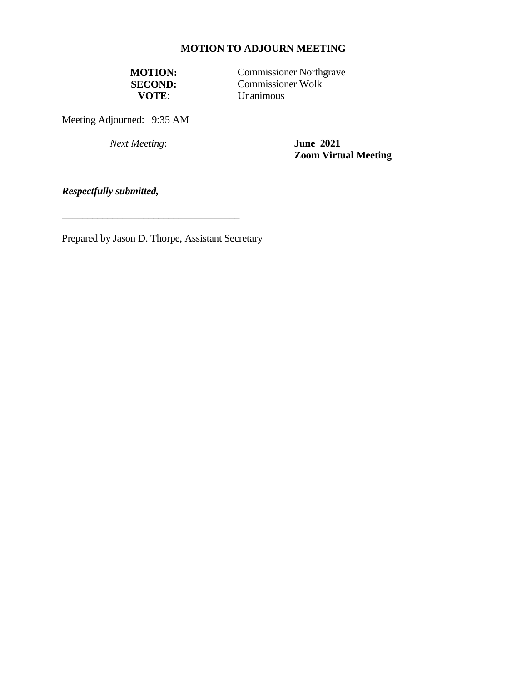# **MOTION TO ADJOURN MEETING**

**MOTION:** Commissioner Northgrave<br> **SECOND:** Commissioner Wolk **SECOND:** Commissioner Wolk **VOTE**: **Unanimous** 

Meeting Adjourned: 9:35 AM

*Next Meeting*: **June 2021**

**Zoom Virtual Meeting**

*Respectfully submitted,*

Prepared by Jason D. Thorpe, Assistant Secretary

\_\_\_\_\_\_\_\_\_\_\_\_\_\_\_\_\_\_\_\_\_\_\_\_\_\_\_\_\_\_\_\_\_\_\_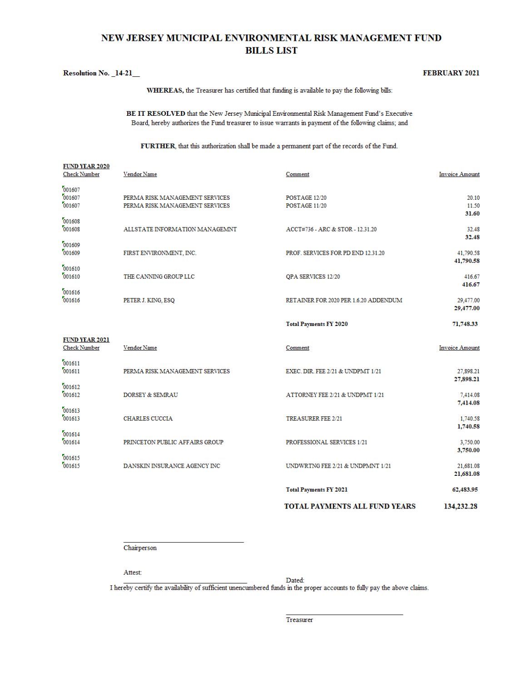# NEW JERSEY MUNICIPAL ENVIRONMENTAL RISK MANAGEMENT FUND **BILLS LIST**

#### Resolution No. 14-21

EUND VEAD 2020

#### **FEBRUARY 2021**

WHEREAS, the Treasurer has certified that funding is available to pay the following bills:

BE IT RESOLVED that the New Jersey Municipal Environmental Risk Management Fund's Executive Board, hereby authorizes the Fund treasurer to issue warrants in payment of the following claims; and

FURTHER, that this authorization shall be made a permanent part of the records of the Fund.

|                                              |                                                                  | <b>TOTAL PAYMENTS ALL FUND YEARS</b>  | 134,232.28                       |
|----------------------------------------------|------------------------------------------------------------------|---------------------------------------|----------------------------------|
|                                              |                                                                  | <b>Total Payments FY 2021</b>         | 62,483.95                        |
| 001615<br>001615                             | DANSKIN INSURANCE AGENCY INC                                     | UNDWRTNG FEE 2/21 & UNDPMNT 1/21      | 21,681.08<br>21,681.08           |
| 001614<br>001614                             | PRINCETON PUBLIC AFFAIRS GROUP                                   | PROFESSIONAL SERVICES 1/21            | 3,750.00<br>3,750.00             |
| 001613<br>001613                             | <b>CHARLES CUCCIA</b>                                            | <b>TREASURER FEE 2/21</b>             | 7,414.08<br>1,740.58<br>1,740.58 |
| 001612<br>001612                             | <b>DORSEY &amp; SEMRAU</b>                                       | ATTORNEY FEE 2/21 & UNDPMT 1/21       | 27,898.21<br>7,414.08            |
| 001611<br>001611                             | PERMA RISK MANAGEMENT SERVICES                                   | EXEC. DIR. FEE 2/21 & UNDPMT 1/21     | 27,898.21                        |
| <b>FUND YEAR 2021</b><br><b>Check Number</b> | Vendor Name                                                      | Comment                               | <b>Invoice Amount</b>            |
|                                              |                                                                  | <b>Total Payments FY 2020</b>         | 71,748.33                        |
| 001616<br>001616                             | PETER J. KING, ESQ                                               | RETAINER FOR 2020 PER 1.6.20 ADDENDUM | 29,477.00<br>29,477.00           |
| 001610<br>001610                             | THE CANNING GROUP LLC                                            | QPA SERVICES 12/20                    | 41,790.58<br>416.67<br>416.67    |
| 001609<br>001609                             | FIRST ENVIRONMENT, INC.                                          | PROF. SERVICES FOR PD END 12.31.20    | 32.48<br>41,790.58               |
| 001608<br>001608                             | ALLSTATE INFORMATION MANAGEMNT                                   | ACCT#736 - ARC & STOR - 12.31.20      | 31.60<br>32.48                   |
| 001607<br>001607<br>001607                   | PERMA RISK MANAGEMENT SERVICES<br>PERMA RISK MANAGEMENT SERVICES | POSTAGE 12/20<br>POSTAGE 11/20        | 20.10<br>11.50                   |
| LOTIN TELEVISION<br><b>Check Number</b>      | Vendor Name                                                      | Comment                               | <b>Invoice Amount</b>            |

Chairperson

Attest:

Dated:

I hereby certify the availability of sufficient unencumbered funds in the proper accounts to fully pay the above claims.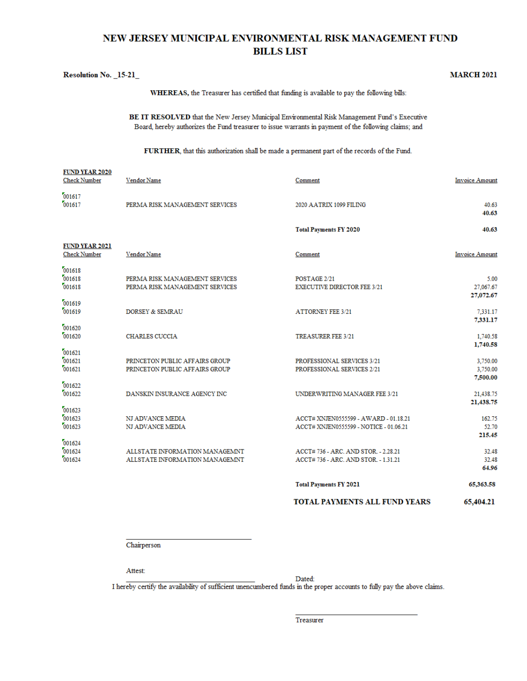# NEW JERSEY MUNICIPAL ENVIRONMENTAL RISK MANAGEMENT FUND **BILLS LIST**

|                                              |                                                                  | WHEREAS, the Treasurer has certified that funding is available to pay the following bills:                                                                                                           |                                   |
|----------------------------------------------|------------------------------------------------------------------|------------------------------------------------------------------------------------------------------------------------------------------------------------------------------------------------------|-----------------------------------|
|                                              |                                                                  | BE IT RESOLVED that the New Jersey Municipal Environmental Risk Management Fund's Executive<br>Board, hereby authorizes the Fund treasurer to issue warrants in payment of the following claims; and |                                   |
|                                              |                                                                  | FURTHER, that this authorization shall be made a permanent part of the records of the Fund.                                                                                                          |                                   |
| <b>FUND YEAR 2020</b><br><b>Check Number</b> | Vendor Name                                                      | Comment                                                                                                                                                                                              | <b>Invoice Amount</b>             |
| 001617<br>001617                             | PERMA RISK MANAGEMENT SERVICES                                   | 2020 AATRIX 1099 FILING                                                                                                                                                                              | 40.63<br>40.63                    |
|                                              |                                                                  | <b>Total Payments FY 2020</b>                                                                                                                                                                        | 40.63                             |
| FUND YEAR 2021<br><b>Check Number</b>        | Vendor Name                                                      | Comment                                                                                                                                                                                              | <b>Invoice Amount</b>             |
| 001618<br>001618<br>001618                   | PERMA RISK MANAGEMENT SERVICES<br>PERMA RISK MANAGEMENT SERVICES | POSTAGE 2/21<br><b>EXECUTIVE DIRECTOR FEE 3/21</b>                                                                                                                                                   | 5.00<br>27,067.67                 |
| 001619<br>001619                             | DORSEY & SEMRAU                                                  | <b>ATTORNEY FEE 3/21</b>                                                                                                                                                                             | 27,072.67<br>7,331.17             |
| 001620<br>001620                             | <b>CHARLES CUCCIA</b>                                            | <b>TREASURER FEE 3/21</b>                                                                                                                                                                            | 7,331.17<br>1,740.58              |
| 001621<br>001621<br>001621                   | PRINCETON PUBLIC AFFAIRS GROUP<br>PRINCETON PUBLIC AFFAIRS GROUP | PROFESSIONAL SERVICES 3/21<br>PROFESSIONAL SERVICES 2/21                                                                                                                                             | 1,740.58<br>3,750.00<br>3,750.00  |
| 001622<br>001622                             | DANSKIN INSURANCE AGENCY INC                                     | UNDERWRITING MANAGER FEE 3/21                                                                                                                                                                        | 7,500.00<br>21,438.75             |
| 001623<br>001623<br>001623                   | NJ ADVANCE MEDIA<br>NJ ADVANCE MEDIA                             | ACCT# XNJEN0555599 - AWARD - 01.18.21<br>ACCT# XNJEN0555599 - NOTICE - 01.06.21                                                                                                                      | 21,438.75<br>162.75<br>52.70      |
| 001624<br>001624<br>001624                   | ALLSTATE INFORMATION MANAGEMNT<br>ALLSTATE INFORMATION MANAGEMNT | ACCT# 736 - ARC. AND STOR. - 2.28.21<br>ACCT# 736 - ARC. AND STOR. - 1.31.21                                                                                                                         | 215.45<br>32.48<br>32.48<br>64.96 |
|                                              |                                                                  | <b>Total Payments FY 2021</b>                                                                                                                                                                        | 65,363.58                         |

TOTAL PAYMENTS ALL FUND YEARS 65,404.21

**MARCH 2021** 

Chairperson

Attest:

**Resolution No. 15-21** 

Dated:

I hereby certify the availability of sufficient unencumbered funds in the proper accounts to fully pay the above claims.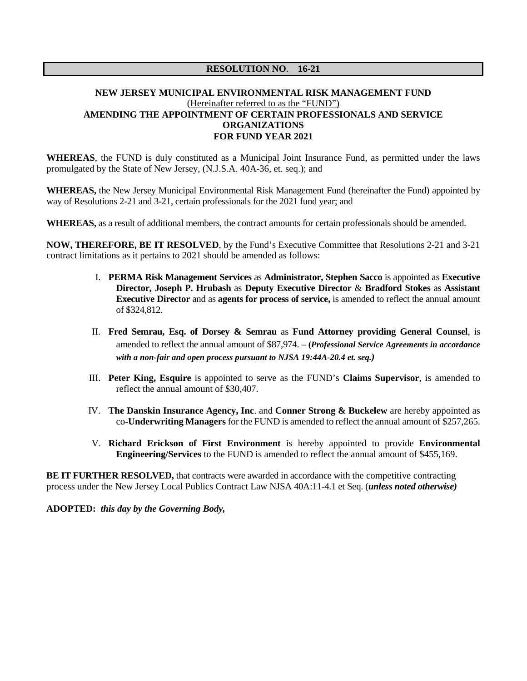#### **RESOLUTION NO**. **16-21**

### **NEW JERSEY MUNICIPAL ENVIRONMENTAL RISK MANAGEMENT FUND** (Hereinafter referred to as the "FUND") **AMENDING THE APPOINTMENT OF CERTAIN PROFESSIONALS AND SERVICE ORGANIZATIONS FOR FUND YEAR 2021**

**WHEREAS**, the FUND is duly constituted as a Municipal Joint Insurance Fund, as permitted under the laws promulgated by the State of New Jersey, (N.J.S.A. 40A-36, et. seq.); and

**WHEREAS,** the New Jersey Municipal Environmental Risk Management Fund (hereinafter the Fund) appointed by way of Resolutions 2-21 and 3-21, certain professionals for the 2021 fund year; and

**WHEREAS,** as a result of additional members, the contract amounts for certain professionals should be amended.

**NOW, THEREFORE, BE IT RESOLVED**, by the Fund's Executive Committee that Resolutions 2-21 and 3-21 contract limitations as it pertains to 2021 should be amended as follows:

- I. **PERMA Risk Management Services** as **Administrator, Stephen Sacco** is appointed as **Executive Director, Joseph P. Hrubash** as **Deputy Executive Director** & **Bradford Stokes** as **Assistant Executive Director** and as **agents for process of service,** is amended to reflect the annual amount of \$324,812.
- II. **Fred Semrau, Esq. of Dorsey & Semrau** as **Fund Attorney providing General Counsel**, is amended to reflect the annual amount of \$87,974. – **(***Professional Service Agreements in accordance with a non-fair and open process pursuant to NJSA 19:44A-20.4 et. seq.)*
- III. **Peter King, Esquire** is appointed to serve as the FUND's **Claims Supervisor**, is amended to reflect the annual amount of \$30,407.
- IV. **The Danskin Insurance Agency, Inc**. and **Conner Strong & Buckelew** are hereby appointed as co-**Underwriting Managers** for the FUND is amended to reflect the annual amount of \$257,265.
- V. **Richard Erickson of First Environment** is hereby appointed to provide **Environmental Engineering/Services** to the FUND is amended to reflect the annual amount of \$455,169.

**BE IT FURTHER RESOLVED, that contracts were awarded in accordance with the competitive contracting** process under the New Jersey Local Publics Contract Law NJSA 40A:11-4.1 et Seq. (*unless noted otherwise)*

**ADOPTED:** *this day by the Governing Body,*